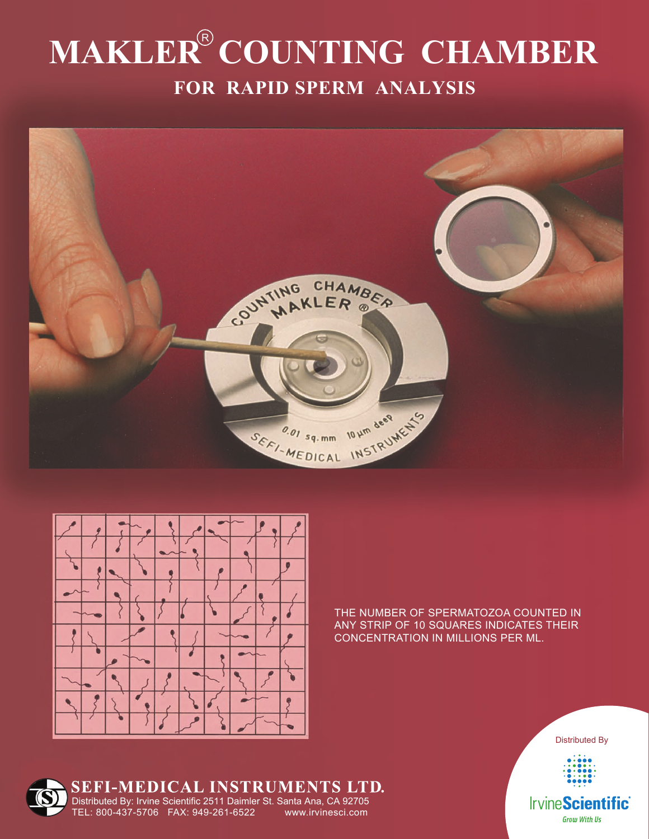## **MAKLER<sup>®</sup> COUNTING CHAMBER FOR RAPID SPERM ANALYSIS**





THE NUMBER OF SPERMATOZOA COUNTED IN ANY STRIP OF 10 SQUARES INDICATES THEIR CONCENTRATION IN MILLIONS PER ML.



### SEFI-MEDICAL INSTRUMENTS LTD.

Distributed By: Irvine Scientific 2511 Daimler St. Santa Ana, CA 92705 TEL: 800-437-5706 FAX: 949-261-6522 www.irvinesci.com

**Grow With Us**